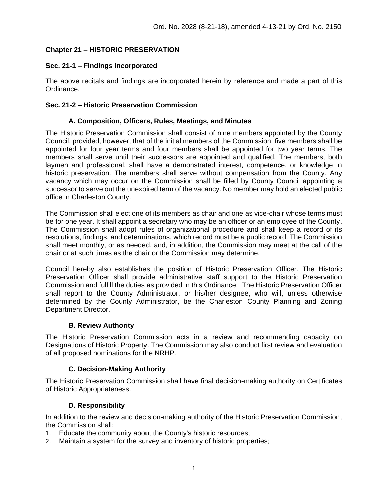# **Chapter 21 – HISTORIC PRESERVATION**

## **Sec. 21-1 – Findings Incorporated**

The above recitals and findings are incorporated herein by reference and made a part of this Ordinance.

### **Sec. 21-2 – Historic Preservation Commission**

### **A. Composition, Officers, Rules, Meetings, and Minutes**

The Historic Preservation Commission shall consist of nine members appointed by the County Council, provided, however, that of the initial members of the Commission, five members shall be appointed for four year terms and four members shall be appointed for two year terms. The members shall serve until their successors are appointed and qualified. The members, both laymen and professional, shall have a demonstrated interest, competence, or knowledge in historic preservation. The members shall serve without compensation from the County. Any vacancy which may occur on the Commission shall be filled by County Council appointing a successor to serve out the unexpired term of the vacancy. No member may hold an elected public office in Charleston County.

The Commission shall elect one of its members as chair and one as vice-chair whose terms must be for one year. It shall appoint a secretary who may be an officer or an employee of the County. The Commission shall adopt rules of organizational procedure and shall keep a record of its resolutions, findings, and determinations, which record must be a public record. The Commission shall meet monthly, or as needed, and, in addition, the Commission may meet at the call of the chair or at such times as the chair or the Commission may determine.

Council hereby also establishes the position of Historic Preservation Officer. The Historic Preservation Officer shall provide administrative staff support to the Historic Preservation Commission and fulfill the duties as provided in this Ordinance. The Historic Preservation Officer shall report to the County Administrator, or his/her designee, who will, unless otherwise determined by the County Administrator, be the Charleston County Planning and Zoning Department Director.

## **B. Review Authority**

The Historic Preservation Commission acts in a review and recommending capacity on Designations of Historic Property. The Commission may also conduct first review and evaluation of all proposed nominations for the NRHP.

## **C. Decision-Making Authority**

The Historic Preservation Commission shall have final decision-making authority on Certificates of Historic Appropriateness.

## **D. Responsibility**

In addition to the review and decision-making authority of the Historic Preservation Commission, the Commission shall:

- 1. Educate the community about the County's historic resources;
- 2. Maintain a system for the survey and inventory of historic properties;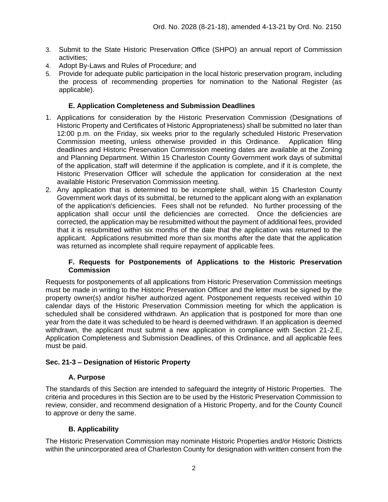- 3. Submit to the State Historic Preservation Office (SHPO) an annual report of Commission activities;
- 4. Adopt By-Laws and Rules of Procedure; and
- 5. Provide for adequate public participation in the local historic preservation program, including the process of recommending properties for nomination to the National Register (as applicable).

### **E. Application Completeness and Submission Deadlines**

- 1. Applications for consideration by the Historic Preservation Commission (Designations of Historic Property and Certificates of Historic Appropriateness) shall be submitted no later than 12:00 p.m. on the Friday, six weeks prior to the regularly scheduled Historic Preservation Commission meeting, unless otherwise provided in this Ordinance. Application filing deadlines and Historic Preservation Commission meeting dates are available at the Zoning and Planning Department. Within 15 Charleston County Government work days of submittal of the application, staff will determine if the application is complete, and if it is complete, the Historic Preservation Officer will schedule the application for consideration at the next available Historic Preservation Commission meeting.
- 2. Any application that is determined to be incomplete shall, within 15 Charleston County Government work days of its submittal, be returned to the applicant along with an explanation of the application's deficiencies. Fees shall not be refunded. No further processing of the application shall occur until the deficiencies are corrected. Once the deficiencies are corrected, the application may be resubmitted without the payment of additional fees, provided that it is resubmitted within six months of the date that the application was returned to the applicant. Applications resubmitted more than six months after the date that the application was returned as incomplete shall require repayment of applicable fees.

### **F. Requests for Postponements of Applications to the Historic Preservation Commission**

Requests for postponements of all applications from Historic Preservation Commission meetings must be made in writing to the Historic Preservation Officer and the letter must be signed by the property owner(s) and/or his/her authorized agent. Postponement requests received within 10 calendar days of the Historic Preservation Commission meeting for which the application is scheduled shall be considered withdrawn. An application that is postponed for more than one year from the date it was scheduled to be heard is deemed withdrawn. If an application is deemed withdrawn, the applicant must submit a new application in compliance with Section 21-2.E, Application Completeness and Submission Deadlines, of this Ordinance, and all applicable fees must be paid.

### **Sec. 21-3 – Designation of Historic Property**

### **A. Purpose**

The standards of this Section are intended to safeguard the integrity of Historic Properties. The criteria and procedures in this Section are to be used by the Historic Preservation Commission to review, consider, and recommend designation of a Historic Property, and for the County Council to approve or deny the same.

### **B. Applicability**

The Historic Preservation Commission may nominate Historic Properties and/or Historic Districts within the unincorporated area of Charleston County for designation with written consent from the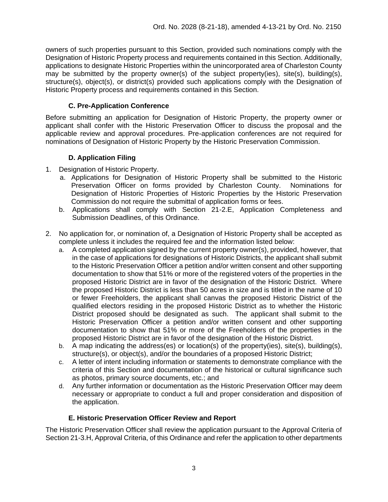owners of such properties pursuant to this Section, provided such nominations comply with the Designation of Historic Property process and requirements contained in this Section. Additionally, applications to designate Historic Properties within the unincorporated area of Charleston County may be submitted by the property owner(s) of the subject property(ies), site(s), building(s), structure(s), object(s), or district(s) provided such applications comply with the Designation of Historic Property process and requirements contained in this Section.

## **C. Pre-Application Conference**

Before submitting an application for Designation of Historic Property, the property owner or applicant shall confer with the Historic Preservation Officer to discuss the proposal and the applicable review and approval procedures. Pre-application conferences are not required for nominations of Designation of Historic Property by the Historic Preservation Commission.

# **D. Application Filing**

- 1. Designation of Historic Property.
	- a. Applications for Designation of Historic Property shall be submitted to the Historic Preservation Officer on forms provided by Charleston County. Nominations for Designation of Historic Properties of Historic Properties by the Historic Preservation Commission do not require the submittal of application forms or fees.
	- b. Applications shall comply with Section 21-2.E, Application Completeness and Submission Deadlines, of this Ordinance.
- 2. No application for, or nomination of, a Designation of Historic Property shall be accepted as complete unless it includes the required fee and the information listed below:
	- a. A completed application signed by the current property owner(s), provided, however, that in the case of applications for designations of Historic Districts, the applicant shall submit to the Historic Preservation Officer a petition and/or written consent and other supporting documentation to show that 51% or more of the registered voters of the properties in the proposed Historic District are in favor of the designation of the Historic District. Where the proposed Historic District is less than 50 acres in size and is titled in the name of 10 or fewer Freeholders, the applicant shall canvas the proposed Historic District of the qualified electors residing in the proposed Historic District as to whether the Historic District proposed should be designated as such. The applicant shall submit to the Historic Preservation Officer a petition and/or written consent and other supporting documentation to show that 51% or more of the Freeholders of the properties in the proposed Historic District are in favor of the designation of the Historic District.
	- b. A map indicating the address(es) or location(s) of the property(ies), site(s), building(s), structure(s), or object(s), and/or the boundaries of a proposed Historic District;
	- c. A letter of intent including information or statements to demonstrate compliance with the criteria of this Section and documentation of the historical or cultural significance such as photos, primary source documents, etc.; and
	- d. Any further information or documentation as the Historic Preservation Officer may deem necessary or appropriate to conduct a full and proper consideration and disposition of the application.

## **E. Historic Preservation Officer Review and Report**

The Historic Preservation Officer shall review the application pursuant to the Approval Criteria of Section 21-3.H, Approval Criteria, of this Ordinance and refer the application to other departments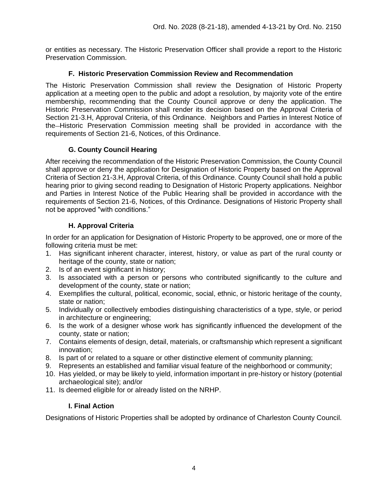or entities as necessary. The Historic Preservation Officer shall provide a report to the Historic Preservation Commission.

### **F. Historic Preservation Commission Review and Recommendation**

The Historic Preservation Commission shall review the Designation of Historic Property application at a meeting open to the public and adopt a resolution, by majority vote of the entire membership, recommending that the County Council approve or deny the application. The Historic Preservation Commission shall render its decision based on the Approval Criteria of Section 21-3.H, Approval Criteria, of this Ordinance. Neighbors and Parties in Interest Notice of the Historic Preservation Commission meeting shall be provided in accordance with the requirements of Section 21-6, Notices, of this Ordinance.

## **G. County Council Hearing**

After receiving the recommendation of the Historic Preservation Commission, the County Council shall approve or deny the application for Designation of Historic Property based on the Approval Criteria of Section 21-3.H, Approval Criteria, of this Ordinance. County Council shall hold a public hearing prior to giving second reading to Designation of Historic Property applications. Neighbor and Parties in Interest Notice of the Public Hearing shall be provided in accordance with the requirements of Section 21-6, Notices, of this Ordinance. Designations of Historic Property shall not be approved "with conditions."

## **H. Approval Criteria**

In order for an application for Designation of Historic Property to be approved, one or more of the following criteria must be met:

- 1. Has significant inherent character, interest, history, or value as part of the rural county or heritage of the county, state or nation;
- 2. Is of an event significant in history;
- 3. Is associated with a person or persons who contributed significantly to the culture and development of the county, state or nation;
- 4. Exemplifies the cultural, political, economic, social, ethnic, or historic heritage of the county, state or nation;
- 5. Individually or collectively embodies distinguishing characteristics of a type, style, or period in architecture or engineering;
- 6. Is the work of a designer whose work has significantly influenced the development of the county, state or nation;
- 7. Contains elements of design, detail, materials, or craftsmanship which represent a significant innovation;
- 8. Is part of or related to a square or other distinctive element of community planning;
- 9. Represents an established and familiar visual feature of the neighborhood or community;
- 10. Has yielded, or may be likely to yield, information important in pre-history or history (potential archaeological site); and/or
- 11. Is deemed eligible for or already listed on the NRHP.

## **I. Final Action**

Designations of Historic Properties shall be adopted by ordinance of Charleston County Council.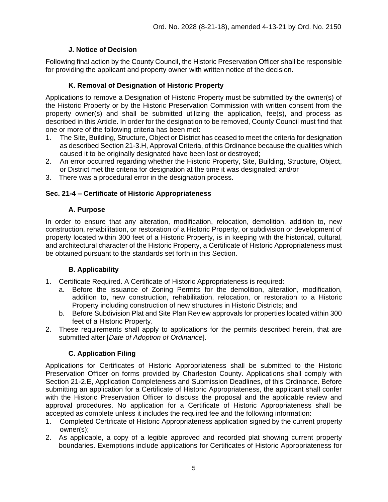## **J. Notice of Decision**

Following final action by the County Council, the Historic Preservation Officer shall be responsible for providing the applicant and property owner with written notice of the decision.

## **K. Removal of Designation of Historic Property**

Applications to remove a Designation of Historic Property must be submitted by the owner(s) of the Historic Property or by the Historic Preservation Commission with written consent from the property owner(s) and shall be submitted utilizing the application, fee(s), and process as described in this Article. In order for the designation to be removed, County Council must find that one or more of the following criteria has been met:

- 1. The Site, Building, Structure, Object or District has ceased to meet the criteria for designation as described Section 21-3.H, Approval Criteria, of this Ordinance because the qualities which caused it to be originally designated have been lost or destroyed;
- 2. An error occurred regarding whether the Historic Property, Site, Building, Structure, Object, or District met the criteria for designation at the time it was designated; and/or
- 3. There was a procedural error in the designation process.

# **Sec. 21-4 – Certificate of Historic Appropriateness**

### **A. Purpose**

In order to ensure that any alteration, modification, relocation, demolition, addition to, new construction, rehabilitation, or restoration of a Historic Property, or subdivision or development of property located within 300 feet of a Historic Property, is in keeping with the historical, cultural, and architectural character of the Historic Property, a Certificate of Historic Appropriateness must be obtained pursuant to the standards set forth in this Section.

## **B. Applicability**

- 1. Certificate Required. A Certificate of Historic Appropriateness is required:
	- a. Before the issuance of Zoning Permits for the demolition, alteration, modification, addition to, new construction, rehabilitation, relocation, or restoration to a Historic Property including construction of new structures in Historic Districts; and
	- b. Before Subdivision Plat and Site Plan Review approvals for properties located within 300 feet of a Historic Property.
- 2. These requirements shall apply to applications for the permits described herein, that are submitted after [*Date of Adoption of Ordinance*].

## **C. Application Filing**

Applications for Certificates of Historic Appropriateness shall be submitted to the Historic Preservation Officer on forms provided by Charleston County. Applications shall comply with Section 21-2.E, Application Completeness and Submission Deadlines, of this Ordinance. Before submitting an application for a Certificate of Historic Appropriateness, the applicant shall confer with the Historic Preservation Officer to discuss the proposal and the applicable review and approval procedures. No application for a Certificate of Historic Appropriateness shall be accepted as complete unless it includes the required fee and the following information:

- 1. Completed Certificate of Historic Appropriateness application signed by the current property owner(s);
- 2. As applicable, a copy of a legible approved and recorded plat showing current property boundaries. Exemptions include applications for Certificates of Historic Appropriateness for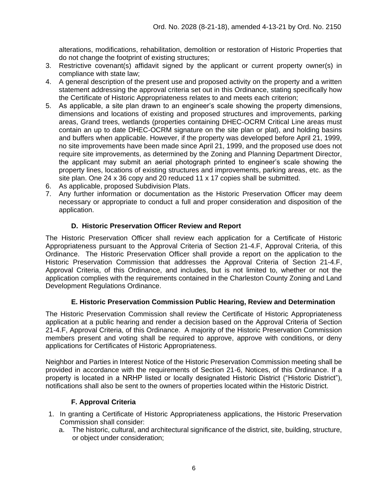alterations, modifications, rehabilitation, demolition or restoration of Historic Properties that do not change the footprint of existing structures;

- 3. Restrictive covenant(s) affidavit signed by the applicant or current property owner(s) in compliance with state law;
- 4. A general description of the present use and proposed activity on the property and a written statement addressing the approval criteria set out in this Ordinance, stating specifically how the Certificate of Historic Appropriateness relates to and meets each criterion;
- 5. As applicable, a site plan drawn to an engineer's scale showing the property dimensions, dimensions and locations of existing and proposed structures and improvements, parking areas, Grand trees, wetlands (properties containing DHEC-OCRM Critical Line areas must contain an up to date DHEC-OCRM signature on the site plan or plat), and holding basins and buffers when applicable. However, if the property was developed before April 21, 1999, no site improvements have been made since April 21, 1999, and the proposed use does not require site improvements, as determined by the Zoning and Planning Department Director, the applicant may submit an aerial photograph printed to engineer's scale showing the property lines, locations of existing structures and improvements, parking areas, etc. as the site plan. One 24 x 36 copy and 20 reduced 11 x 17 copies shall be submitted.
- 6. As applicable, proposed Subdivision Plats.
- 7. Any further information or documentation as the Historic Preservation Officer may deem necessary or appropriate to conduct a full and proper consideration and disposition of the application.

## **D. Historic Preservation Officer Review and Report**

The Historic Preservation Officer shall review each application for a Certificate of Historic Appropriateness pursuant to the Approval Criteria of Section 21-4.F, Approval Criteria, of this Ordinance. The Historic Preservation Officer shall provide a report on the application to the Historic Preservation Commission that addresses the Approval Criteria of Section 21-4.F, Approval Criteria, of this Ordinance, and includes, but is not limited to, whether or not the application complies with the requirements contained in the Charleston County Zoning and Land Development Regulations Ordinance.

## **E. Historic Preservation Commission Public Hearing, Review and Determination**

The Historic Preservation Commission shall review the Certificate of Historic Appropriateness application at a public hearing and render a decision based on the Approval Criteria of Section 21-4.F, Approval Criteria, of this Ordinance. A majority of the Historic Preservation Commission members present and voting shall be required to approve, approve with conditions, or deny applications for Certificates of Historic Appropriateness.

Neighbor and Parties in Interest Notice of the Historic Preservation Commission meeting shall be provided in accordance with the requirements of Section 21-6, Notices, of this Ordinance. If a property is located in a NRHP listed or locally designated Historic District ("Historic District"), notifications shall also be sent to the owners of properties located within the Historic District.

## **F. Approval Criteria**

- 1. In granting a Certificate of Historic Appropriateness applications, the Historic Preservation Commission shall consider:
	- a. The historic, cultural, and architectural significance of the district, site, building, structure, or object under consideration;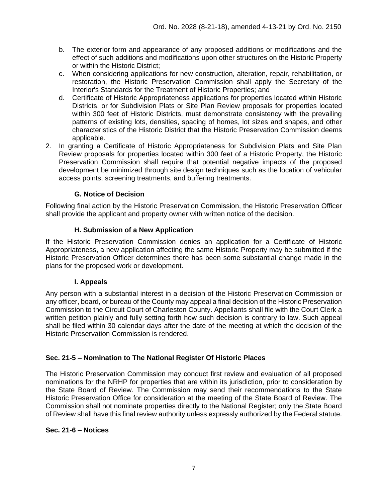- b. The exterior form and appearance of any proposed additions or modifications and the effect of such additions and modifications upon other structures on the Historic Property or within the Historic District;
- c. When considering applications for new construction, alteration, repair, rehabilitation, or restoration, the Historic Preservation Commission shall apply the Secretary of the Interior's Standards for the Treatment of Historic Properties; and
- d. Certificate of Historic Appropriateness applications for properties located within Historic Districts, or for Subdivision Plats or Site Plan Review proposals for properties located within 300 feet of Historic Districts, must demonstrate consistency with the prevailing patterns of existing lots, densities, spacing of homes, lot sizes and shapes, and other characteristics of the Historic District that the Historic Preservation Commission deems applicable.
- 2. In granting a Certificate of Historic Appropriateness for Subdivision Plats and Site Plan Review proposals for properties located within 300 feet of a Historic Property, the Historic Preservation Commission shall require that potential negative impacts of the proposed development be minimized through site design techniques such as the location of vehicular access points, screening treatments, and buffering treatments.

# **G. Notice of Decision**

Following final action by the Historic Preservation Commission, the Historic Preservation Officer shall provide the applicant and property owner with written notice of the decision.

## **H. Submission of a New Application**

If the Historic Preservation Commission denies an application for a Certificate of Historic Appropriateness, a new application affecting the same Historic Property may be submitted if the Historic Preservation Officer determines there has been some substantial change made in the plans for the proposed work or development.

### **I. Appeals**

Any person with a substantial interest in a decision of the Historic Preservation Commission or any officer, board, or bureau of the County may appeal a final decision of the Historic Preservation Commission to the Circuit Court of Charleston County. Appellants shall file with the Court Clerk a written petition plainly and fully setting forth how such decision is contrary to law. Such appeal shall be filed within 30 calendar days after the date of the meeting at which the decision of the Historic Preservation Commission is rendered.

### **Sec. 21-5 – Nomination to The National Register Of Historic Places**

The Historic Preservation Commission may conduct first review and evaluation of all proposed nominations for the NRHP for properties that are within its jurisdiction, prior to consideration by the State Board of Review. The Commission may send their recommendations to the State Historic Preservation Office for consideration at the meeting of the State Board of Review. The Commission shall not nominate properties directly to the National Register; only the State Board of Review shall have this final review authority unless expressly authorized by the Federal statute.

### **Sec. 21-6 – Notices**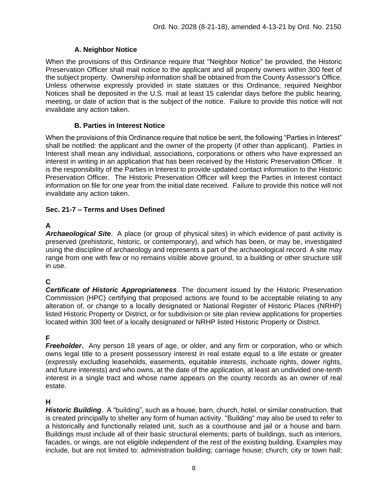# **A. Neighbor Notice**

When the provisions of this Ordinance require that "Neighbor Notice" be provided, the Historic Preservation Officer shall mail notice to the applicant and all property owners within 300 feet of the subject property. Ownership information shall be obtained from the County Assessor's Office. Unless otherwise expressly provided in state statutes or this Ordinance, required Neighbor Notices shall be deposited in the U.S. mail at least 15 calendar days before the public hearing, meeting, or date of action that is the subject of the notice. Failure to provide this notice will not invalidate any action taken.

## **B. Parties in Interest Notice**

When the provisions of this Ordinance require that notice be sent, the following "Parties in Interest" shall be notified: the applicant and the owner of the property (if other than applicant). Parties in Interest shall mean any individual, associations, corporations or others who have expressed an interest in writing in an application that has been received by the Historic Preservation Officer. It is the responsibility of the Parties in Interest to provide updated contact information to the Historic Preservation Officer. The Historic Preservation Officer will keep the Parties in Interest contact information on file for one year from the initial date received. Failure to provide this notice will not invalidate any action taken.

# **Sec. 21-7 – Terms and Uses Defined**

# **A**

*Archaeological Site*. A place (or group of physical sites) in which evidence of past activity is preserved (prehistoric, historic, or contemporary), and which has been, or may be, investigated using the discipline of archaeology and represents a part of the archaeological record. A site may range from one with few or no remains visible above ground, to a building or other structure still in use.

# **C**

*Certificate of Historic Appropriateness*. The document issued by the Historic Preservation Commission (HPC) certifying that proposed actions are found to be acceptable relating to any alteration of, or change to a locally designated or National Register of Historic Places (NRHP) listed Historic Property or District, or for subdivision or site plan review applications for properties located within 300 feet of a locally designated or NRHP listed Historic Property or District.

# **F**

*Freeholder.* Any person 18 years of age, or older, and any firm or corporation, who or which owns legal title to a present possessory interest in real estate equal to a life estate or greater (expressly excluding leaseholds, easements, equitable interests, inchoate rights, dower rights, and future interests) and who owns, at the date of the application, at least an undivided one-tenth interest in a single tract and whose name appears on the county records as an owner of real estate.

## **H**

*Historic Building*. A "building", such as a house, barn, church, hotel, or similar construction, that is created principally to shelter any form of human activity. "Building" may also be used to refer to a historically and functionally related unit, such as a courthouse and jail or a house and barn. Buildings must include all of their basic structural elements; parts of buildings, such as interiors, facades, or wings, are not eligible independent of the rest of the existing building. Examples may include, but are not limited to: administration building; carriage house; church; city or town hall;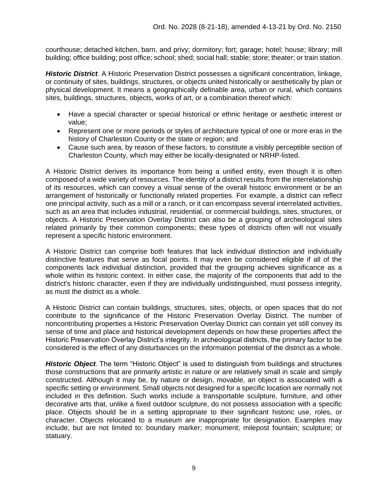courthouse; detached kitchen, barn, and privy; dormitory; fort; garage; hotel; house; library; mill building; office building; post office; school; shed; social hall; stable; store; theater; or train station.

*Historic District*. A Historic Preservation District possesses a significant concentration, linkage, or continuity of sites, buildings, structures, or objects united historically or aesthetically by plan or physical development. It means a geographically definable area, urban or rural, which contains sites, buildings, structures, objects, works of art, or a combination thereof which:

- Have a special character or special historical or ethnic heritage or aesthetic interest or value;
- Represent one or more periods or styles of architecture typical of one or more eras in the history of Charleston County or the state or region; and
- Cause such area, by reason of these factors, to constitute a visibly perceptible section of Charleston County, which may either be locally-designated or NRHP-listed.

A Historic District derives its importance from being a unified entity, even though it is often composed of a wide variety of resources. The identity of a district results from the interrelationship of its resources, which can convey a visual sense of the overall historic environment or be an arrangement of historically or functionally related properties. For example, a district can reflect one principal activity, such as a mill or a ranch, or it can encompass several interrelated activities, such as an area that includes industrial, residential, or commercial buildings, sites, structures, or objects. A Historic Preservation Overlay District can also be a grouping of archeological sites related primarily by their common components; these types of districts often will not visually represent a specific historic environment.

A Historic District can comprise both features that lack individual distinction and individually distinctive features that serve as focal points. It may even be considered eligible if all of the components lack individual distinction, provided that the grouping achieves significance as a whole within its historic context. In either case, the majority of the components that add to the district's historic character, even if they are individually undistinguished, must possess integrity, as must the district as a whole.

A Historic District can contain buildings, structures, sites, objects, or open spaces that do not contribute to the significance of the Historic Preservation Overlay District. The number of noncontributing properties a Historic Preservation Overlay District can contain yet still convey its sense of time and place and historical development depends on how these properties affect the Historic Preservation Overlay District's integrity. In archeological districts, the primary factor to be considered is the effect of any disturbances on the information potential of the district as a whole.

*Historic Object*. The term "Historic Object" is used to distinguish from buildings and structures those constructions that are primarily artistic in nature or are relatively small in scale and simply constructed. Although it may be, by nature or design, movable, an object is associated with a specific setting or environment. Small objects not designed for a specific location are normally not included in this definition. Such works include a transportable sculpture, furniture, and other decorative arts that, unlike a fixed outdoor sculpture, do not possess association with a specific place. Objects should be in a setting appropriate to their significant historic use, roles, or character. Objects relocated to a museum are inappropriate for designation. Examples may include, but are not limited to: boundary marker; monument; milepost fountain; sculpture; or statuary.